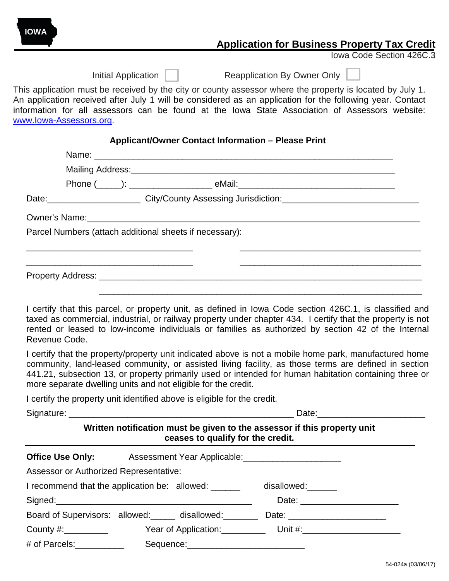# **Application for Business Property Tax Credit**

Iowa Code Section 426C.3

| nitial Application |
|--------------------|
|--------------------|

**IOWA**

Initial Application **Neapplication By Owner Only** 

This application must be received by the city or county assessor where the property is located by July 1. An application received after July 1 will be considered as an application for the following year. Contact information for all assessors can be found at the Iowa State Association of Assessors website: [www.Iowa-Assessors.org.](http://www.iowa-assessors.org/)

### **Applicant/Owner Contact Information – Please Print**

| Parcel Numbers (attach additional sheets if necessary): |  |  |  |  |  |  |
|---------------------------------------------------------|--|--|--|--|--|--|
|                                                         |  |  |  |  |  |  |
|                                                         |  |  |  |  |  |  |
|                                                         |  |  |  |  |  |  |
|                                                         |  |  |  |  |  |  |

I certify that this parcel, or property unit, as defined in Iowa Code section 426C.1, is classified and taxed as commercial, industrial, or railway property under chapter 434. I certify that the property is not rented or leased to low-income individuals or families as authorized by section 42 of the Internal Revenue Code.

I certify that the property/property unit indicated above is not a mobile home park, manufactured home community, land-leased community, or assisted living facility, as those terms are defined in section 441.21, subsection 13, or property primarily used or intended for human habitation containing three or more separate dwelling units and not eligible for the credit.

I certify the property unit identified above is eligible for the credit.

|                                               | Written notification must be given to the assessor if this property unit<br>ceases to qualify for the credit. |                                                                                  |  |  |  |
|-----------------------------------------------|---------------------------------------------------------------------------------------------------------------|----------------------------------------------------------------------------------|--|--|--|
|                                               | Office Use Only: Assessment Year Applicable: <u>________________________________</u>                          |                                                                                  |  |  |  |
| <b>Assessor or Authorized Representative:</b> |                                                                                                               |                                                                                  |  |  |  |
|                                               | I recommend that the application be: allowed: ______                                                          | disallowed:                                                                      |  |  |  |
|                                               |                                                                                                               | Date: ________________________                                                   |  |  |  |
|                                               | Board of Supervisors: allowed: _____ disallowed: _______                                                      |                                                                                  |  |  |  |
|                                               |                                                                                                               | County #:____________    Year of Application:__________ Unit #:_________________ |  |  |  |
| # of Parcels:___________                      |                                                                                                               |                                                                                  |  |  |  |